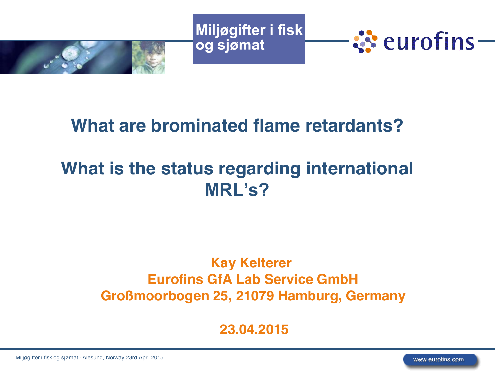

## **What are brominated flame retardants?**

# **What is the status regarding international MRL's?**

### **Kay Kelterer Eurofins GfA Lab Service GmbH Großmoorbogen 25, 21079 Hamburg, Germany**

#### **23.04.2015**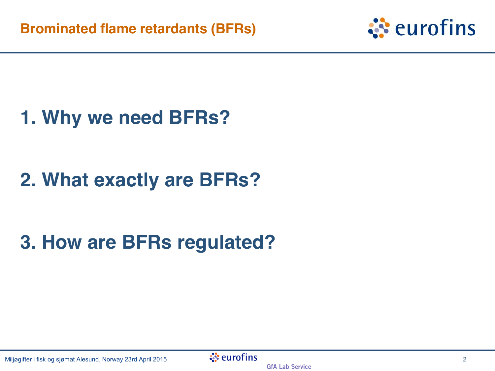

# **1. Why we need BFRs?**

# **2. What exactly are BFRs?**

# **3. How are BFRs regulated?**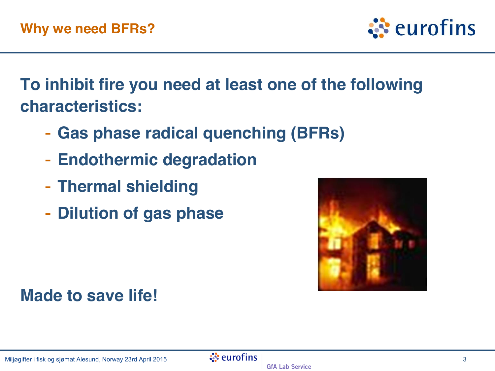

**To inhibit fire you need at least one of the following characteristics:**

- **Gas phase radical quenching (BFRs)**
- **Endothermic degradation**
- **Thermal shielding**
- **Dilution of gas phase**



## **Made to save life!**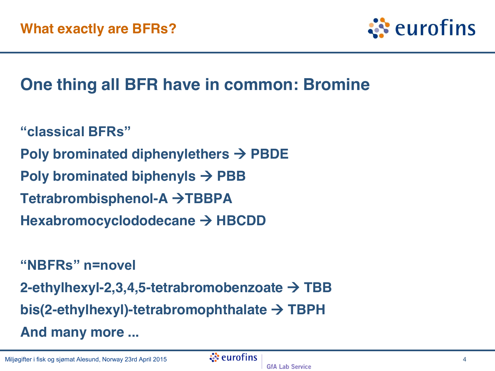

## **One thing all BFR have in common: Bromine**

**"classical BFRs" Poly brominated diphenylethers**  $\rightarrow$  **PBDE** Poly brominated biphenyls  $\rightarrow$  PBB **Tetrabrombisphenol-A →TBBPA** Hexabromocyclododecane → HBCDD

**"NBFRs" n=novel**  $2$ -ethylhexyl-2,3,4,5-tetrabromobenzoate  $\rightarrow$  TBB **bis(2-ethylhexyl)-tetrabromophthalate** → TBPH **And many more ...**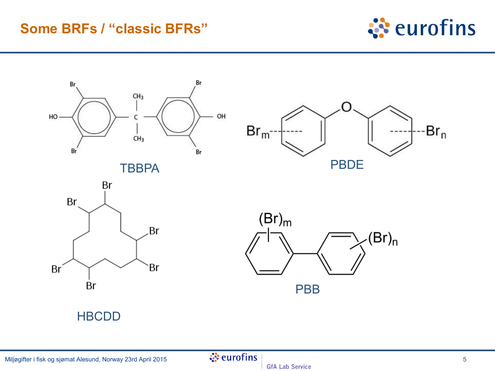#### **Some BRFs / "classic BFRs"**











 $(Br)_{m}$  $(Br)_n$ PBB

**HBCDD**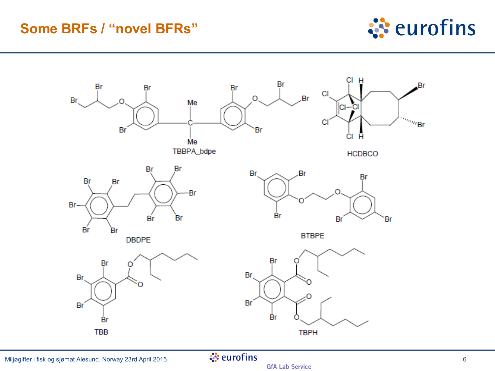#### **Some BRFs / "novel BFRs"**



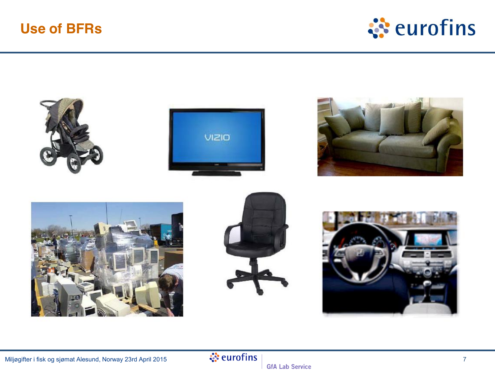#### **Use of BFRs**



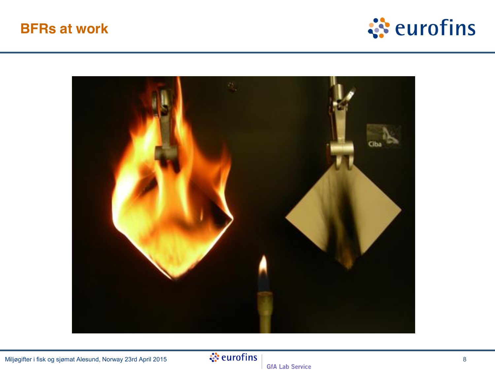#### **BFRs at work**



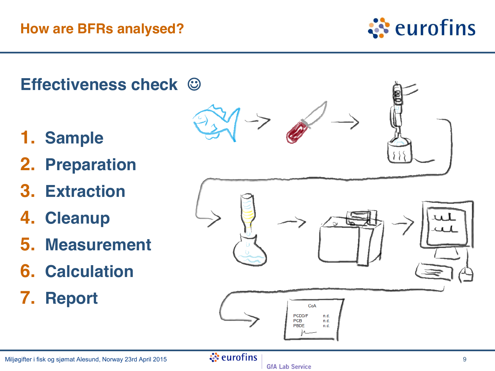

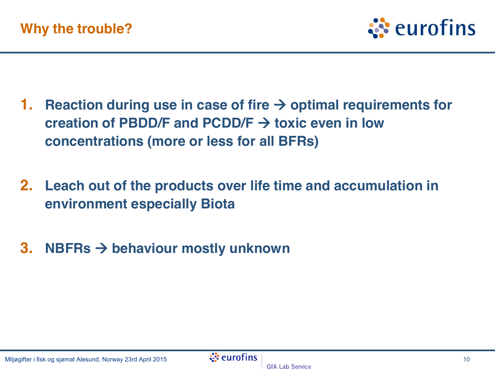

- **1.** Reaction during use in case of fire  $\rightarrow$  optimal requirements for creation of PBDD/F and PCDD/F  $\rightarrow$  toxic even in low **concentrations (more or less for all BFRs)**
- **2. Leach out of the products over life time and accumulation in environment especially Biota**
- **3.** NBFRs → behaviour mostly unknown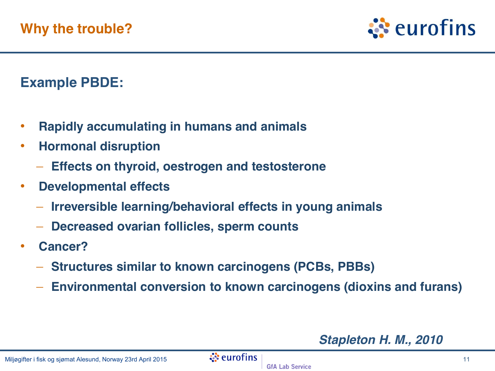<u>ः</u> eurofins

### **Example PBDE:**

- **Rapidly accumulating in humans and animals**
- **Hormonal disruption**
	- **Effects on thyroid, oestrogen and testosterone**
- **Developmental effects**
	- **Irreversible learning/behavioral effects in young animals**
	- **Decreased ovarian follicles, sperm counts**
- **Cancer?**
	- **Structures similar to known carcinogens (PCBs, PBBs)**
	- **Environmental conversion to known carcinogens (dioxins and furans)**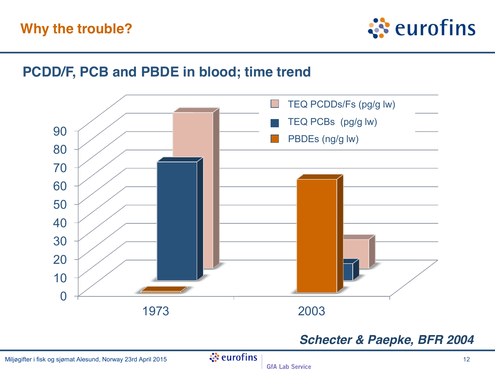

#### **PCDD/F, PCB and PBDE in blood; time trend**

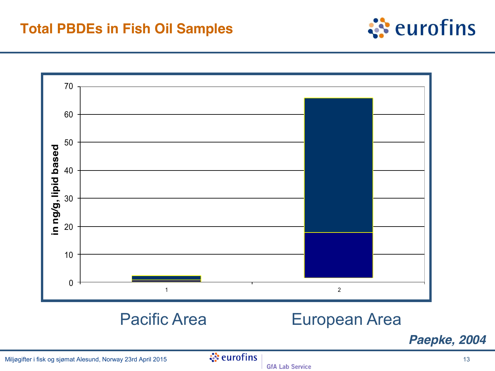#### **Total PBDEs in Fish Oil Samples**



ं eurofins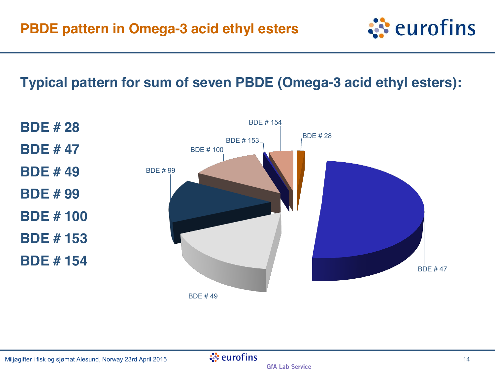

#### **Typical pattern for sum of seven PBDE (Omega-3 acid ethyl esters):**

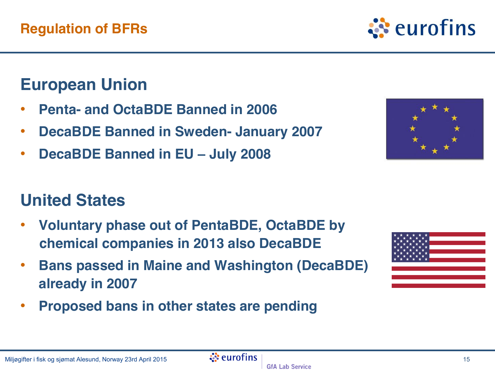**European Union**

- **Penta- and OctaBDE Banned in 2006**
- **DecaBDE Banned in Sweden- January 2007**
- **DecaBDE Banned in EU – July 2008**

## **United States**

- **Voluntary phase out of PentaBDE, OctaBDE by chemical companies in 2013 also DecaBDE**
- **Bans passed in Maine and Washington (DecaBDE) already in 2007**
- **Proposed bans in other states are pending**





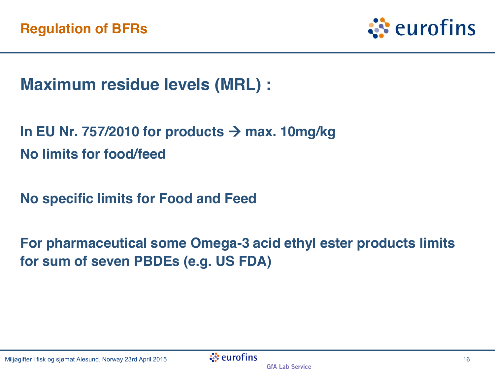

## **Maximum residue levels (MRL) :**

## In EU Nr. 757/2010 for products  $\rightarrow$  max. 10mg/kg **No limits for food/feed**

**No specific limits for Food and Feed**

**For pharmaceutical some Omega-3 acid ethyl ester products limits for sum of seven PBDEs (e.g. US FDA)**